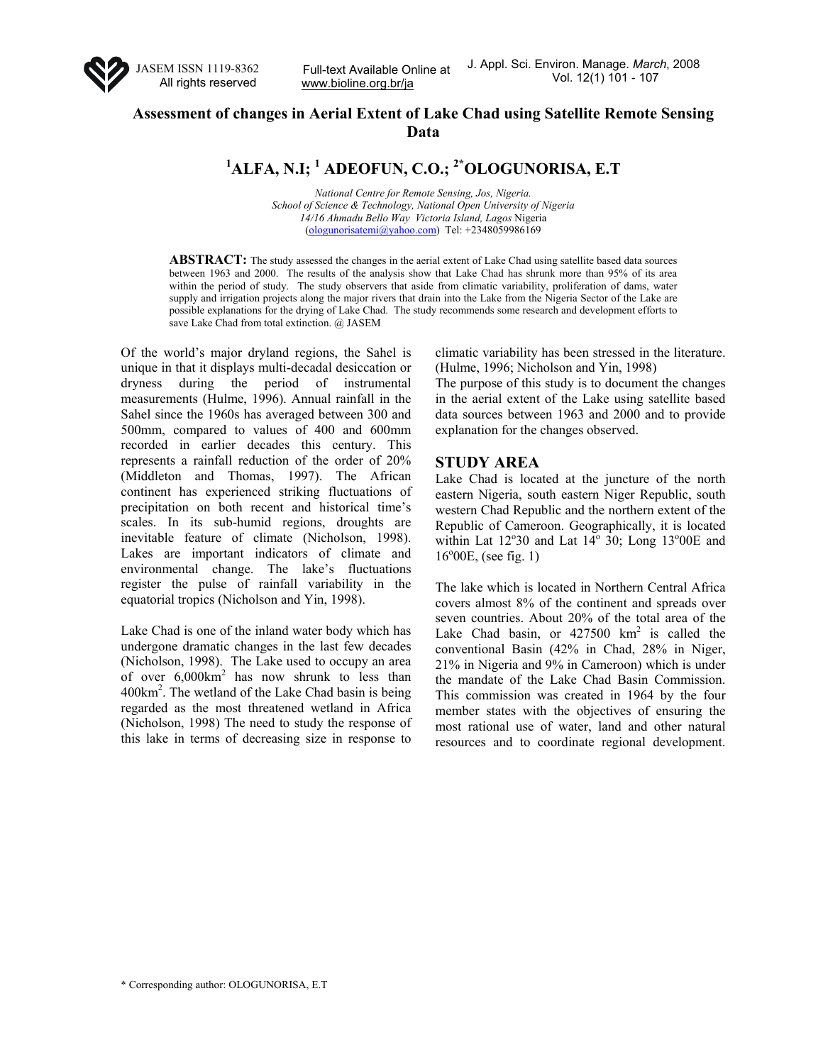

www.bioline.org.br/ja

# **Assessment of changes in Aerial Extent of Lake Chad using Satellite Remote Sensing Data**

**1 ALFA, N.I; <sup>1</sup> ADEOFUN, C.O.; 2\*OLOGUNORISA, E.T**

*National Centre for Remote Sensing, Jos, Nigeria. School of Science & Technology, National Open University of Nigeria 14/16 Ahmadu Bello Way Victoria Island, Lagos* Nigeria (ologunorisatemi@yahoo.com) Tel: +2348059986169

**ABSTRACT:** The study assessed the changes in the aerial extent of Lake Chad using satellite based data sources between 1963 and 2000. The results of the analysis show that Lake Chad has shrunk more than 95% of its area within the period of study. The study observers that aside from climatic variability, proliferation of dams, water supply and irrigation projects along the major rivers that drain into the Lake from the Nigeria Sector of the Lake are possible explanations for the drying of Lake Chad. The study recommends some research and development efforts to save Lake Chad from total extinction. @ JASEM

Of the world's major dryland regions, the Sahel is unique in that it displays multi-decadal desiccation or dryness during the period of instrumental measurements (Hulme, 1996). Annual rainfall in the Sahel since the 1960s has averaged between 300 and 500mm, compared to values of 400 and 600mm recorded in earlier decades this century. This represents a rainfall reduction of the order of 20% (Middleton and Thomas, 1997). The African continent has experienced striking fluctuations of precipitation on both recent and historical time's scales. In its sub-humid regions, droughts are inevitable feature of climate (Nicholson, 1998). Lakes are important indicators of climate and environmental change. The lake's fluctuations register the pulse of rainfall variability in the equatorial tropics (Nicholson and Yin, 1998).

Lake Chad is one of the inland water body which has undergone dramatic changes in the last few decades (Nicholson, 1998). The Lake used to occupy an area of over  $6,000 \text{ km}^2$  has now shrunk to less than 400km<sup>2</sup>. The wetland of the Lake Chad basin is being regarded as the most threatened wetland in Africa (Nicholson, 1998) The need to study the response of this lake in terms of decreasing size in response to

climatic variability has been stressed in the literature. (Hulme, 1996; Nicholson and Yin, 1998)

The purpose of this study is to document the changes in the aerial extent of the Lake using satellite based data sources between 1963 and 2000 and to provide explanation for the changes observed.

### **STUDY AREA**

Lake Chad is located at the juncture of the north eastern Nigeria, south eastern Niger Republic, south western Chad Republic and the northern extent of the Republic of Cameroon. Geographically, it is located within Lat  $12^{\circ}30$  and Lat  $14^{\circ}30$ ; Long  $13^{\circ}00E$  and 16°00E, (see fig. 1)

The lake which is located in Northern Central Africa covers almost 8% of the continent and spreads over seven countries. About 20% of the total area of the Lake Chad basin, or  $427500 \text{ km}^2$  is called the conventional Basin (42% in Chad, 28% in Niger, 21% in Nigeria and 9% in Cameroon) which is under the mandate of the Lake Chad Basin Commission. This commission was created in 1964 by the four member states with the objectives of ensuring the most rational use of water, land and other natural resources and to coordinate regional development.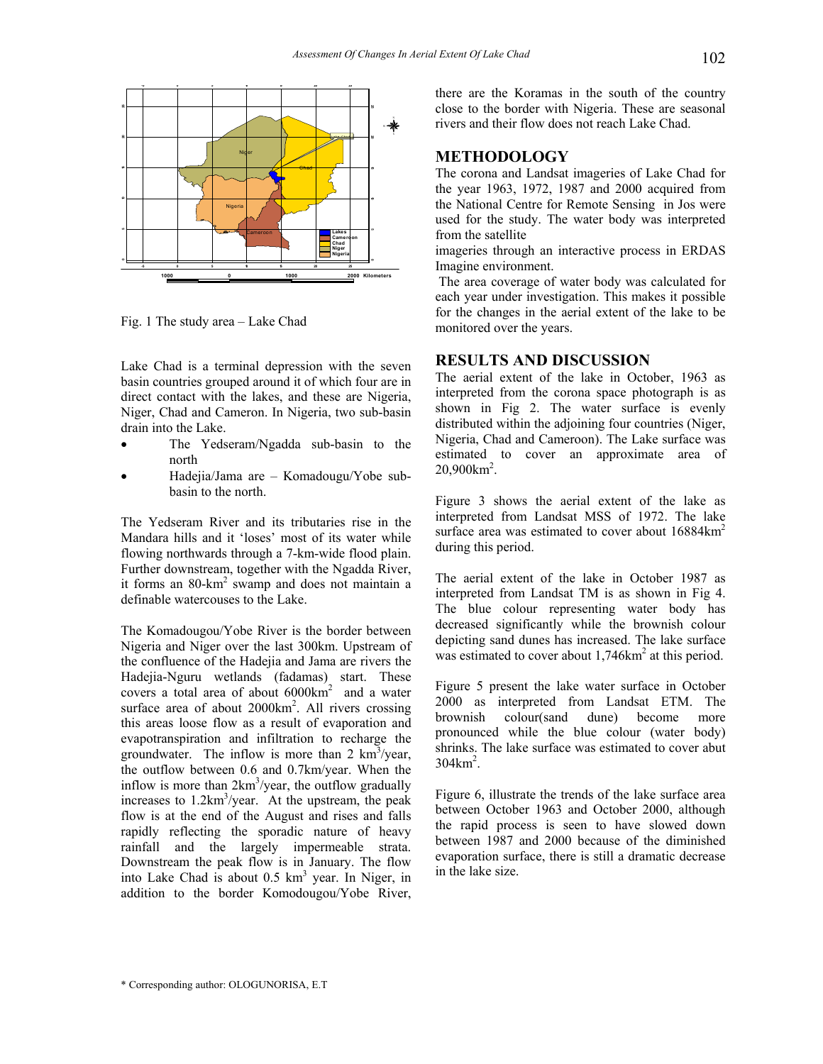

Fig. 1 The study area – Lake Chad

Lake Chad is a terminal depression with the seven basin countries grouped around it of which four are in direct contact with the lakes, and these are Nigeria, Niger, Chad and Cameron. In Nigeria, two sub-basin drain into the Lake.

- The Yedseram/Ngadda sub-basin to the north
- Hadejia/Jama are Komadougu/Yobe subbasin to the north.

The Yedseram River and its tributaries rise in the Mandara hills and it 'loses' most of its water while flowing northwards through a 7-km-wide flood plain. Further downstream, together with the Ngadda River, it forms an 80-km<sup>2</sup> swamp and does not maintain a definable watercouses to the Lake.

The Komadougou/Yobe River is the border between Nigeria and Niger over the last 300km. Upstream of the confluence of the Hadejia and Jama are rivers the Hadejia-Nguru wetlands (fadamas) start. These covers a total area of about  $6000 \text{km}^2$  and a water surface area of about  $2000 \text{km}^2$ . All rivers crossing this areas loose flow as a result of evaporation and evapotranspiration and infiltration to recharge the groundwater. The inflow is more than  $2 \text{ km}^3/\text{year}$ , the outflow between 0.6 and 0.7km/year. When the inflow is more than  $2km^3$ /year, the outflow gradually increases to  $1.2 \text{km}^3/\text{year}$ . At the upstream, the peak flow is at the end of the August and rises and falls rapidly reflecting the sporadic nature of heavy rainfall and the largely impermeable strata. Downstream the peak flow is in January. The flow into Lake Chad is about 0.5 km<sup>3</sup> year. In Niger, in addition to the border Komodougou/Yobe River,

there are the Koramas in the south of the country close to the border with Nigeria. These are seasonal rivers and their flow does not reach Lake Chad.

## **METHODOLOGY**

The corona and Landsat imageries of Lake Chad for the year 1963, 1972, 1987 and 2000 acquired from the National Centre for Remote Sensing in Jos were used for the study. The water body was interpreted from the satellite

imageries through an interactive process in ERDAS Imagine environment.

 The area coverage of water body was calculated for each year under investigation. This makes it possible for the changes in the aerial extent of the lake to be monitored over the years.

#### **RESULTS AND DISCUSSION**

The aerial extent of the lake in October, 1963 as interpreted from the corona space photograph is as shown in Fig 2. The water surface is evenly distributed within the adjoining four countries (Niger, Nigeria, Chad and Cameroon). The Lake surface was estimated to cover an approximate area of  $20,900 \text{km}^2$ .

Figure 3 shows the aerial extent of the lake as interpreted from Landsat MSS of 1972. The lake surface area was estimated to cover about  $16884 \text{km}^2$ during this period.

The aerial extent of the lake in October 1987 as interpreted from Landsat TM is as shown in Fig 4. The blue colour representing water body has decreased significantly while the brownish colour depicting sand dunes has increased. The lake surface was estimated to cover about 1,746km<sup>2</sup> at this period.

Figure 5 present the lake water surface in October 2000 as interpreted from Landsat ETM. The brownish colour(sand dune) become more pronounced while the blue colour (water body) shrinks. The lake surface was estimated to cover abut  $304 \text{km}^2$ .

Figure 6, illustrate the trends of the lake surface area between October 1963 and October 2000, although the rapid process is seen to have slowed down between 1987 and 2000 because of the diminished evaporation surface, there is still a dramatic decrease in the lake size.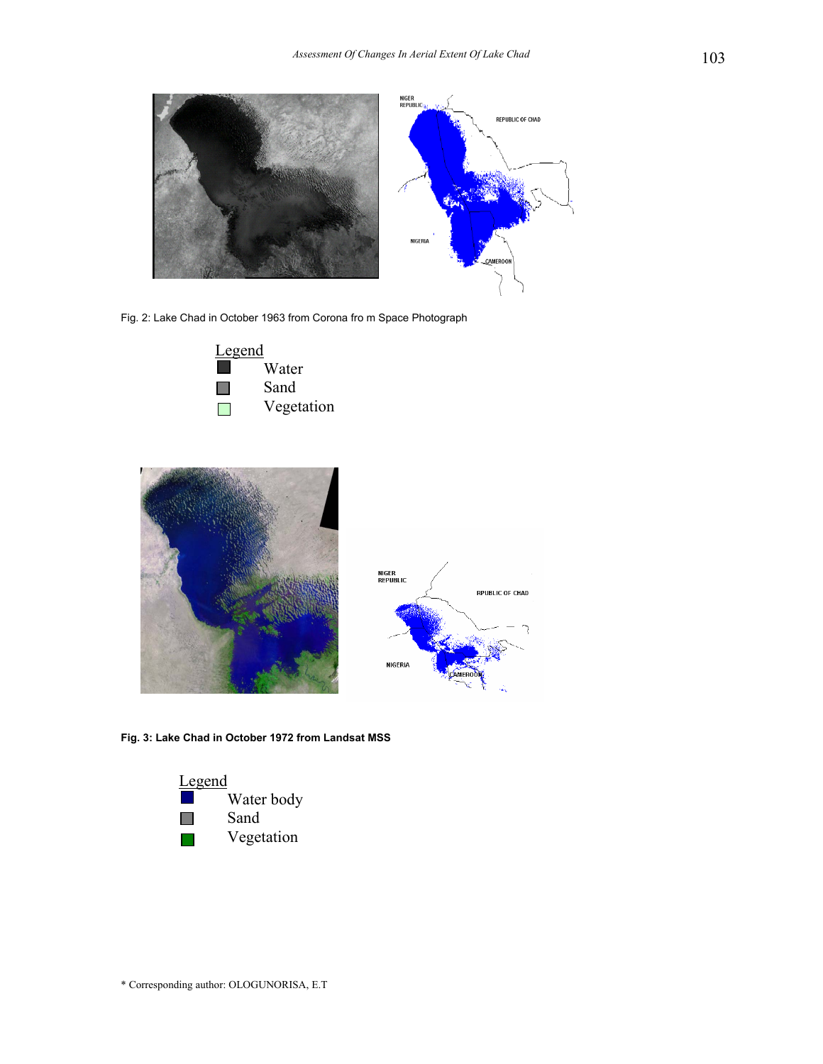

Fig. 2: Lake Chad in October 1963 from Corona fro m Space Photograph







**Fig. 3: Lake Chad in October 1972 from Landsat MSS** 

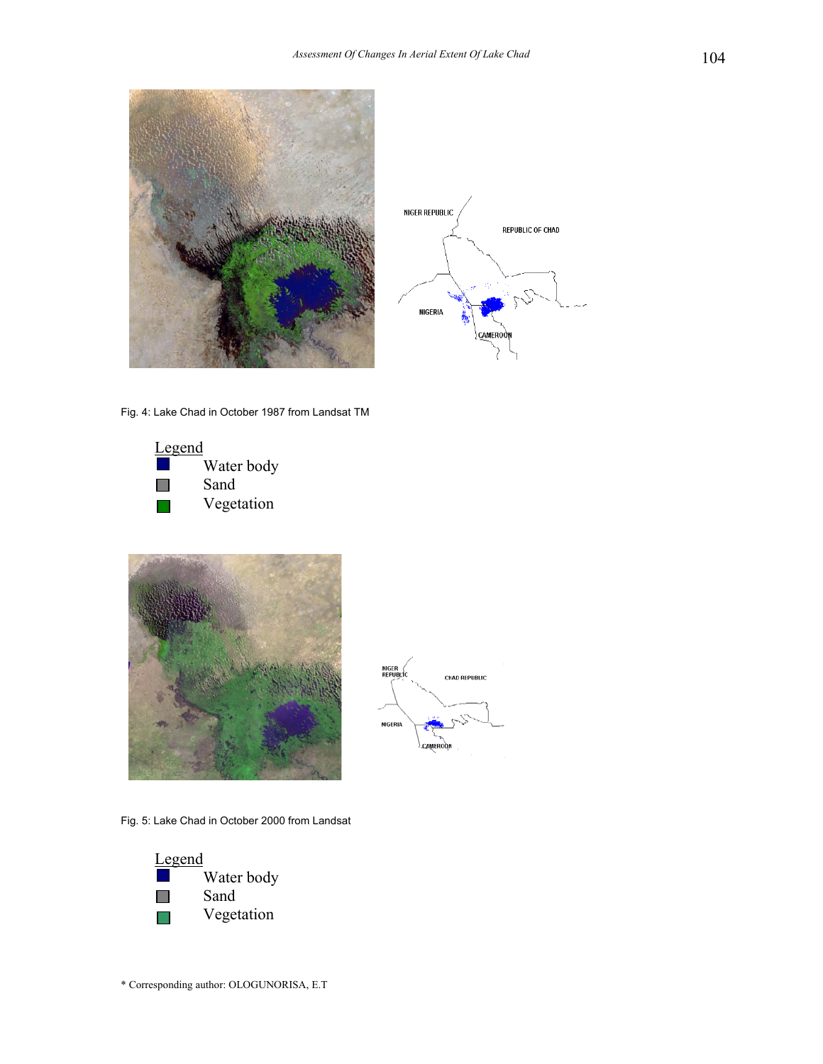



Fig. 4: Lake Chad in October 1987 from Landsat TM







Fig. 5: Lake Chad in October 2000 from Landsat

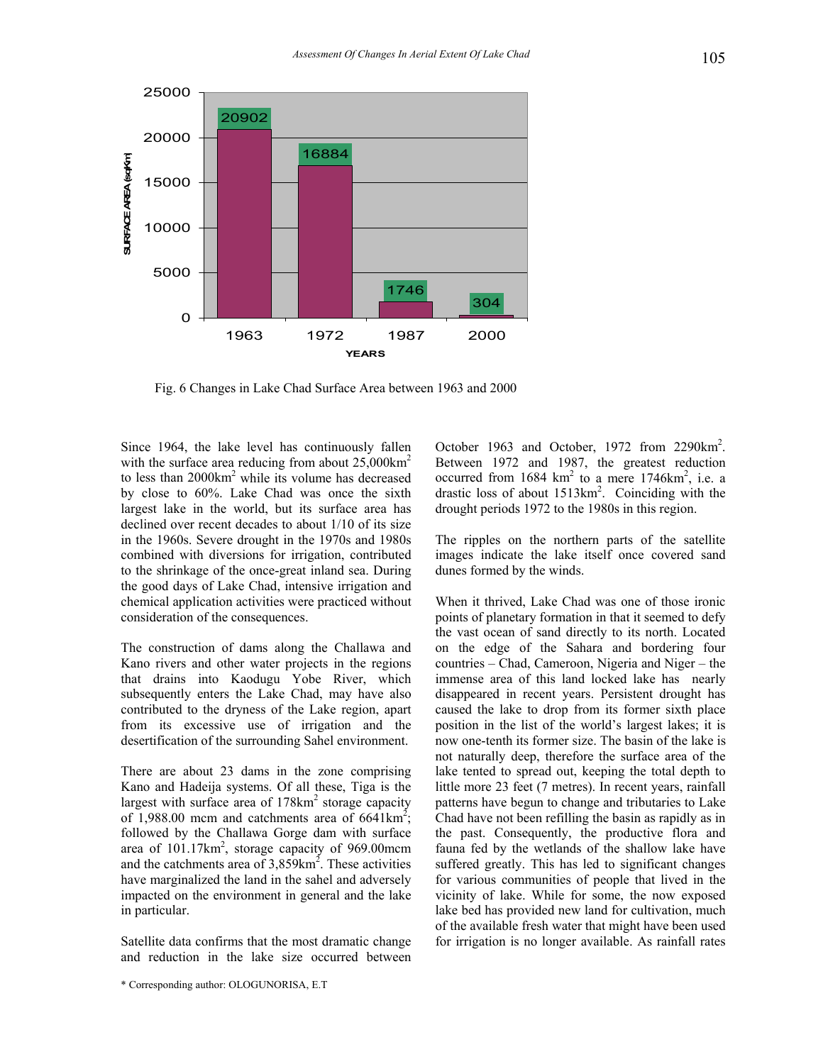

Fig. 6 Changes in Lake Chad Surface Area between 1963 and 2000

Since 1964, the lake level has continuously fallen with the surface area reducing from about 25,000 km<sup>2</sup> to less than  $2000 \text{km}^2$  while its volume has decreased by close to 60%. Lake Chad was once the sixth largest lake in the world, but its surface area has declined over recent decades to about 1/10 of its size in the 1960s. Severe drought in the 1970s and 1980s combined with diversions for irrigation, contributed to the shrinkage of the once-great inland sea. During the good days of Lake Chad, intensive irrigation and chemical application activities were practiced without consideration of the consequences.

The construction of dams along the Challawa and Kano rivers and other water projects in the regions that drains into Kaodugu Yobe River, which subsequently enters the Lake Chad, may have also contributed to the dryness of the Lake region, apart from its excessive use of irrigation and the desertification of the surrounding Sahel environment.

There are about 23 dams in the zone comprising Kano and Hadeija systems. Of all these, Tiga is the largest with surface area of 178km<sup>2</sup> storage capacity of  $1,988.00$  mcm and catchments area of  $6641 \text{km}^2$ ; followed by the Challawa Gorge dam with surface area of  $101.17 \text{km}^2$ , storage capacity of 969.00mcm and the catchments area of  $3,859$  km<sup>2</sup>. These activities have marginalized the land in the sahel and adversely impacted on the environment in general and the lake in particular.

Satellite data confirms that the most dramatic change and reduction in the lake size occurred between

October 1963 and October, 1972 from 2290km<sup>2</sup>. Between 1972 and 1987, the greatest reduction occurred from  $1684 \text{ km}^2$  to a mere  $1746 \text{ km}^2$ , i.e. a drastic loss of about  $1513 \text{km}^2$ . Coinciding with the drought periods 1972 to the 1980s in this region.

The ripples on the northern parts of the satellite images indicate the lake itself once covered sand dunes formed by the winds.

When it thrived, Lake Chad was one of those ironic points of planetary formation in that it seemed to defy the vast ocean of sand directly to its north. Located on the edge of the Sahara and bordering four countries – Chad, Cameroon, Nigeria and Niger – the immense area of this land locked lake has nearly disappeared in recent years. Persistent drought has caused the lake to drop from its former sixth place position in the list of the world's largest lakes; it is now one-tenth its former size. The basin of the lake is not naturally deep, therefore the surface area of the lake tented to spread out, keeping the total depth to little more 23 feet (7 metres). In recent years, rainfall patterns have begun to change and tributaries to Lake Chad have not been refilling the basin as rapidly as in the past. Consequently, the productive flora and fauna fed by the wetlands of the shallow lake have suffered greatly. This has led to significant changes for various communities of people that lived in the vicinity of lake. While for some, the now exposed lake bed has provided new land for cultivation, much of the available fresh water that might have been used for irrigation is no longer available. As rainfall rates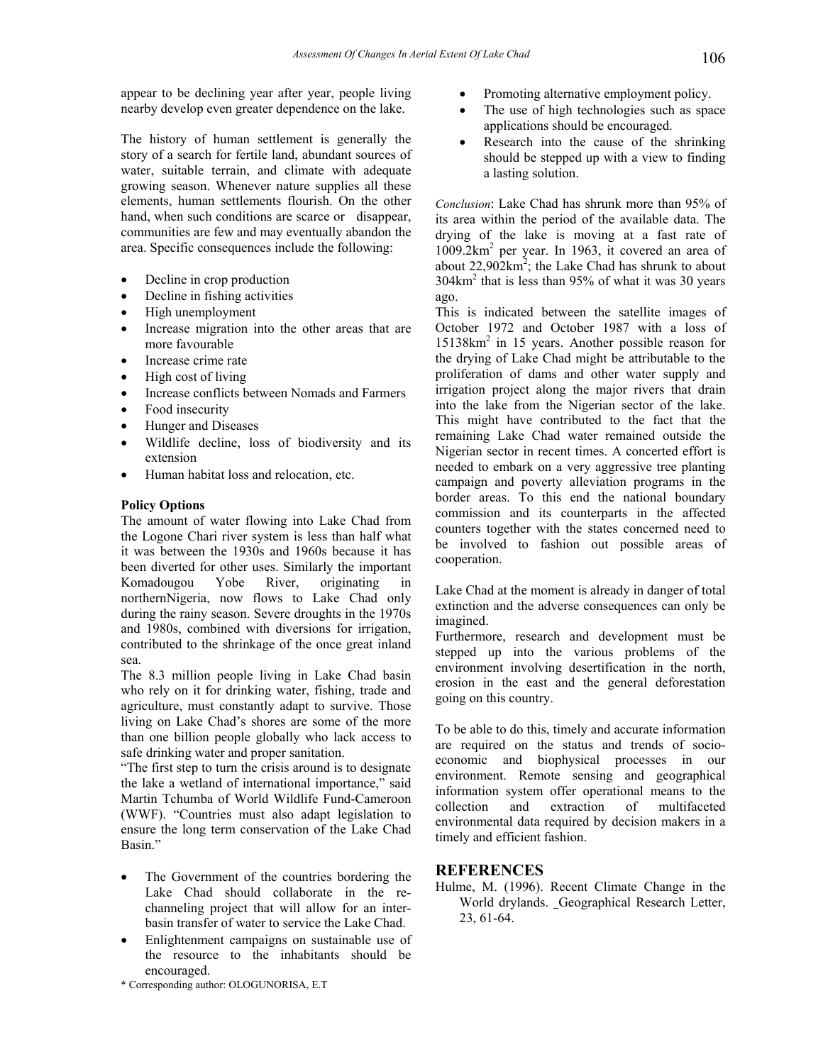appear to be declining year after year, people living nearby develop even greater dependence on the lake.

The history of human settlement is generally the story of a search for fertile land, abundant sources of water, suitable terrain, and climate with adequate growing season. Whenever nature supplies all these elements, human settlements flourish. On the other hand, when such conditions are scarce or disappear, communities are few and may eventually abandon the area. Specific consequences include the following:

- Decline in crop production
- Decline in fishing activities
- High unemployment
- Increase migration into the other areas that are more favourable
- Increase crime rate
- High cost of living
- Increase conflicts between Nomads and Farmers
- Food insecurity
- Hunger and Diseases
- Wildlife decline, loss of biodiversity and its extension
- Human habitat loss and relocation, etc.

#### **Policy Options**

The amount of water flowing into Lake Chad from the Logone Chari river system is less than half what it was between the 1930s and 1960s because it has been diverted for other uses. Similarly the important Komadougou Yobe River, originating in northernNigeria, now flows to Lake Chad only during the rainy season. Severe droughts in the 1970s and 1980s, combined with diversions for irrigation, contributed to the shrinkage of the once great inland sea.

The 8.3 million people living in Lake Chad basin who rely on it for drinking water, fishing, trade and agriculture, must constantly adapt to survive. Those living on Lake Chad's shores are some of the more than one billion people globally who lack access to safe drinking water and proper sanitation.

"The first step to turn the crisis around is to designate the lake a wetland of international importance," said Martin Tchumba of World Wildlife Fund-Cameroon (WWF). "Countries must also adapt legislation to ensure the long term conservation of the Lake Chad Basin."

- The Government of the countries bordering the Lake Chad should collaborate in the rechanneling project that will allow for an interbasin transfer of water to service the Lake Chad.
- Enlightenment campaigns on sustainable use of the resource to the inhabitants should be encouraged.
- Promoting alternative employment policy.
- The use of high technologies such as space applications should be encouraged.
- Research into the cause of the shrinking should be stepped up with a view to finding a lasting solution.

*Conclusion*: Lake Chad has shrunk more than 95% of its area within the period of the available data. The drying of the lake is moving at a fast rate of 1009.2km2 per year. In 1963, it covered an area of about  $22,902 \text{km}^2$ ; the Lake Chad has shrunk to about  $304 \text{km}^2$  that is less than 95% of what it was 30 years ago.

This is indicated between the satellite images of October 1972 and October 1987 with a loss of 15138km2 in 15 years. Another possible reason for the drying of Lake Chad might be attributable to the proliferation of dams and other water supply and irrigation project along the major rivers that drain into the lake from the Nigerian sector of the lake. This might have contributed to the fact that the remaining Lake Chad water remained outside the Nigerian sector in recent times. A concerted effort is needed to embark on a very aggressive tree planting campaign and poverty alleviation programs in the border areas. To this end the national boundary commission and its counterparts in the affected counters together with the states concerned need to be involved to fashion out possible areas of cooperation.

Lake Chad at the moment is already in danger of total extinction and the adverse consequences can only be imagined.

Furthermore, research and development must be stepped up into the various problems of the environment involving desertification in the north, erosion in the east and the general deforestation going on this country.

To be able to do this, timely and accurate information are required on the status and trends of socioeconomic and biophysical processes in our environment. Remote sensing and geographical information system offer operational means to the collection and extraction of multifaceted environmental data required by decision makers in a timely and efficient fashion.

#### **REFERENCES**

Hulme, M. (1996). Recent Climate Change in the World drylands. Geographical Research Letter, 23, 61-64.

\* Corresponding author: OLOGUNORISA, E.T